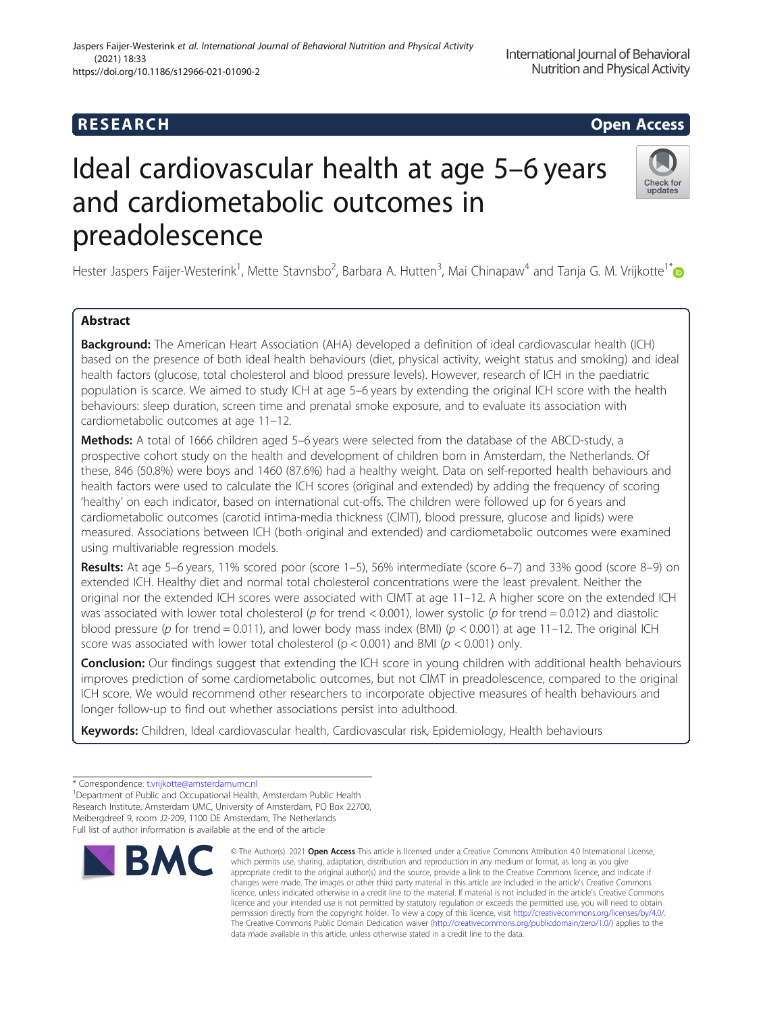# **RESEARCH CHILD CONTROL** CONTROL CONTROL CONTROL CONTROL CONTROL CONTROL CONTROL CONTROL CONTROL CONTROL CONTROL CONTROL CONTROL CONTROL CONTROL CONTROL CONTROL CONTROL CONTROL CONTROL CONTROL CONTROL CONTROL CONTROL CONTR

# Ideal cardiovascular health at age 5–6 years and cardiometabolic outcomes in preadolescence



Hester Jaspers Faijer-Westerink<sup>1</sup>, Mette Stavnsbo<sup>2</sup>, Barbara A. Hutten<sup>3</sup>, Mai Chinapaw<sup>4</sup> and Tanja G. M. Vrijkotte<sup>1[\\*](http://orcid.org/0000-0003-3641-4048)</sup>

## Abstract

**Background:** The American Heart Association (AHA) developed a definition of ideal cardiovascular health (ICH) based on the presence of both ideal health behaviours (diet, physical activity, weight status and smoking) and ideal health factors (glucose, total cholesterol and blood pressure levels). However, research of ICH in the paediatric population is scarce. We aimed to study ICH at age 5–6 years by extending the original ICH score with the health behaviours: sleep duration, screen time and prenatal smoke exposure, and to evaluate its association with cardiometabolic outcomes at age 11–12.

Methods: A total of 1666 children aged 5–6 years were selected from the database of the ABCD-study, a prospective cohort study on the health and development of children born in Amsterdam, the Netherlands. Of these, 846 (50.8%) were boys and 1460 (87.6%) had a healthy weight. Data on self-reported health behaviours and health factors were used to calculate the ICH scores (original and extended) by adding the frequency of scoring 'healthy' on each indicator, based on international cut-offs. The children were followed up for 6 years and cardiometabolic outcomes (carotid intima-media thickness (CIMT), blood pressure, glucose and lipids) were measured. Associations between ICH (both original and extended) and cardiometabolic outcomes were examined using multivariable regression models.

Results: At age 5–6 years, 11% scored poor (score 1–5), 56% intermediate (score 6–7) and 33% good (score 8–9) on extended ICH. Healthy diet and normal total cholesterol concentrations were the least prevalent. Neither the original nor the extended ICH scores were associated with CIMT at age 11–12. A higher score on the extended ICH was associated with lower total cholesterol (p for trend < 0.001), lower systolic (p for trend = 0.012) and diastolic blood pressure (p for trend = 0.011), and lower body mass index (BMI) ( $p < 0.001$ ) at age 11–12. The original ICH score was associated with lower total cholesterol ( $p < 0.001$ ) and BMI ( $p < 0.001$ ) only.

Conclusion: Our findings suggest that extending the ICH score in young children with additional health behaviours improves prediction of some cardiometabolic outcomes, but not CIMT in preadolescence, compared to the original ICH score. We would recommend other researchers to incorporate objective measures of health behaviours and longer follow-up to find out whether associations persist into adulthood.

Keywords: Children, Ideal cardiovascular health, Cardiovascular risk, Epidemiology, Health behaviours

<sup>&</sup>lt;sup>1</sup>Department of Public and Occupational Health, Amsterdam Public Health Research Institute, Amsterdam UMC, University of Amsterdam, PO Box 22700, Meibergdreef 9, room J2-209, 1100 DE Amsterdam, The Netherlands Full list of author information is available at the end of the article



<sup>©</sup> The Author(s), 2021 **Open Access** This article is licensed under a Creative Commons Attribution 4.0 International License, which permits use, sharing, adaptation, distribution and reproduction in any medium or format, as long as you give appropriate credit to the original author(s) and the source, provide a link to the Creative Commons licence, and indicate if changes were made. The images or other third party material in this article are included in the article's Creative Commons licence, unless indicated otherwise in a credit line to the material. If material is not included in the article's Creative Commons licence and your intended use is not permitted by statutory regulation or exceeds the permitted use, you will need to obtain permission directly from the copyright holder. To view a copy of this licence, visit [http://creativecommons.org/licenses/by/4.0/.](http://creativecommons.org/licenses/by/4.0/) The Creative Commons Public Domain Dedication waiver [\(http://creativecommons.org/publicdomain/zero/1.0/](http://creativecommons.org/publicdomain/zero/1.0/)) applies to the data made available in this article, unless otherwise stated in a credit line to the data.

<sup>\*</sup> Correspondence: [t.vrijkotte@amsterdamumc.nl](mailto:t.vrijkotte@amsterdamumc.nl) <sup>1</sup>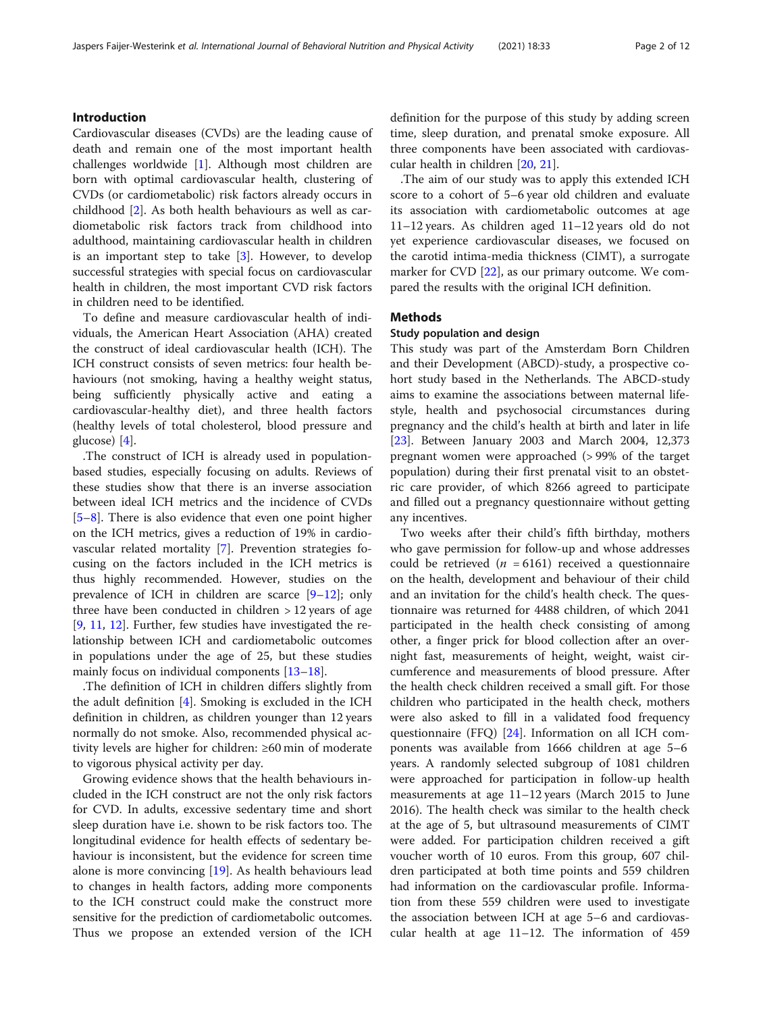### Introduction

Cardiovascular diseases (CVDs) are the leading cause of death and remain one of the most important health challenges worldwide [[1\]](#page-10-0). Although most children are born with optimal cardiovascular health, clustering of CVDs (or cardiometabolic) risk factors already occurs in childhood [\[2](#page-10-0)]. As both health behaviours as well as cardiometabolic risk factors track from childhood into adulthood, maintaining cardiovascular health in children is an important step to take [[3](#page-10-0)]. However, to develop successful strategies with special focus on cardiovascular health in children, the most important CVD risk factors in children need to be identified.

To define and measure cardiovascular health of individuals, the American Heart Association (AHA) created the construct of ideal cardiovascular health (ICH). The ICH construct consists of seven metrics: four health behaviours (not smoking, having a healthy weight status, being sufficiently physically active and eating a cardiovascular-healthy diet), and three health factors (healthy levels of total cholesterol, blood pressure and glucose) [\[4](#page-10-0)].

.The construct of ICH is already used in populationbased studies, especially focusing on adults. Reviews of these studies show that there is an inverse association between ideal ICH metrics and the incidence of CVDs [[5](#page-10-0)–[8\]](#page-10-0). There is also evidence that even one point higher on the ICH metrics, gives a reduction of 19% in cardiovascular related mortality [\[7](#page-10-0)]. Prevention strategies focusing on the factors included in the ICH metrics is thus highly recommended. However, studies on the prevalence of ICH in children are scarce [\[9](#page-10-0)–[12\]](#page-10-0); only three have been conducted in children  $> 12$  years of age [[9,](#page-10-0) [11](#page-10-0), [12](#page-10-0)]. Further, few studies have investigated the relationship between ICH and cardiometabolic outcomes in populations under the age of 25, but these studies mainly focus on individual components [[13](#page-10-0)–[18](#page-11-0)].

.The definition of ICH in children differs slightly from the adult definition [[4\]](#page-10-0). Smoking is excluded in the ICH definition in children, as children younger than 12 years normally do not smoke. Also, recommended physical activity levels are higher for children: ≥60 min of moderate to vigorous physical activity per day.

Growing evidence shows that the health behaviours included in the ICH construct are not the only risk factors for CVD. In adults, excessive sedentary time and short sleep duration have i.e. shown to be risk factors too. The longitudinal evidence for health effects of sedentary behaviour is inconsistent, but the evidence for screen time alone is more convincing [\[19](#page-11-0)]. As health behaviours lead to changes in health factors, adding more components to the ICH construct could make the construct more sensitive for the prediction of cardiometabolic outcomes. Thus we propose an extended version of the ICH definition for the purpose of this study by adding screen time, sleep duration, and prenatal smoke exposure. All three components have been associated with cardiovascular health in children [[20](#page-11-0), [21](#page-11-0)].

.The aim of our study was to apply this extended ICH score to a cohort of 5–6 year old children and evaluate its association with cardiometabolic outcomes at age 11–12 years. As children aged 11–12 years old do not yet experience cardiovascular diseases, we focused on the carotid intima-media thickness (CIMT), a surrogate marker for CVD [\[22\]](#page-11-0), as our primary outcome. We compared the results with the original ICH definition.

#### Methods

#### Study population and design

This study was part of the Amsterdam Born Children and their Development (ABCD)-study, a prospective cohort study based in the Netherlands. The ABCD-study aims to examine the associations between maternal lifestyle, health and psychosocial circumstances during pregnancy and the child's health at birth and later in life [[23\]](#page-11-0). Between January 2003 and March 2004, 12,373 pregnant women were approached (> 99% of the target population) during their first prenatal visit to an obstetric care provider, of which 8266 agreed to participate and filled out a pregnancy questionnaire without getting any incentives.

Two weeks after their child's fifth birthday, mothers who gave permission for follow-up and whose addresses could be retrieved ( $n = 6161$ ) received a questionnaire on the health, development and behaviour of their child and an invitation for the child's health check. The questionnaire was returned for 4488 children, of which 2041 participated in the health check consisting of among other, a finger prick for blood collection after an overnight fast, measurements of height, weight, waist circumference and measurements of blood pressure. After the health check children received a small gift. For those children who participated in the health check, mothers were also asked to fill in a validated food frequency questionnaire (FFQ) [[24](#page-11-0)]. Information on all ICH components was available from 1666 children at age 5–6 years. A randomly selected subgroup of 1081 children were approached for participation in follow-up health measurements at age 11–12 years (March 2015 to June 2016). The health check was similar to the health check at the age of 5, but ultrasound measurements of CIMT were added. For participation children received a gift voucher worth of 10 euros. From this group, 607 children participated at both time points and 559 children had information on the cardiovascular profile. Information from these 559 children were used to investigate the association between ICH at age 5–6 and cardiovascular health at age 11–12. The information of 459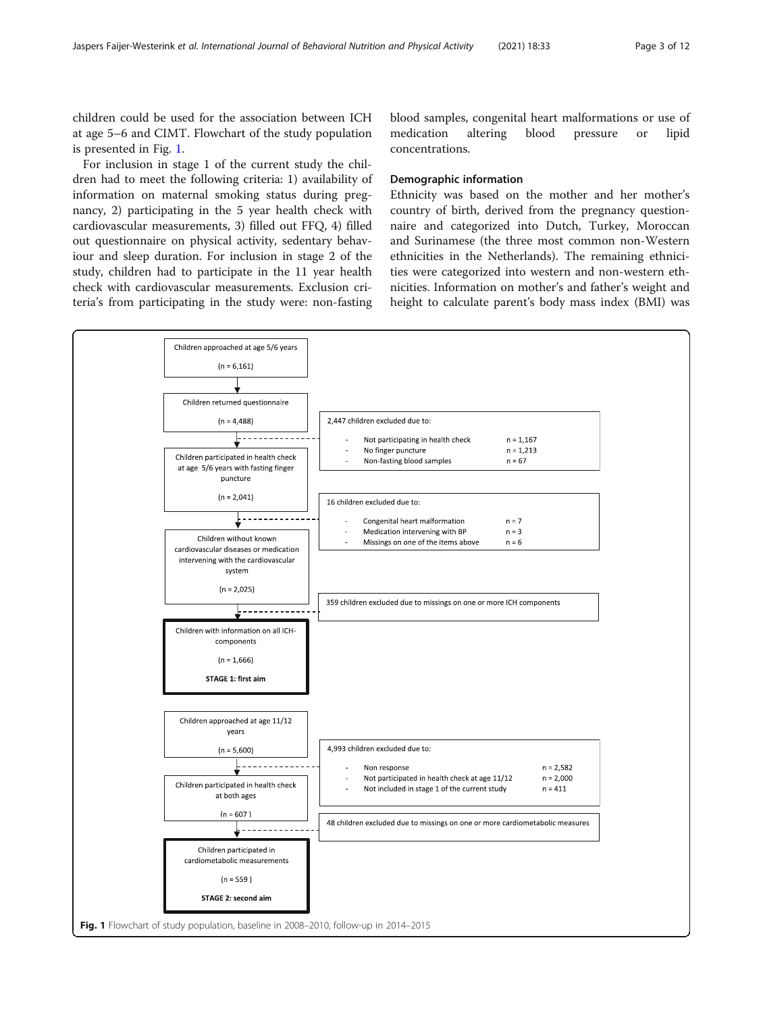children could be used for the association between ICH at age 5–6 and CIMT. Flowchart of the study population is presented in Fig. 1.

For inclusion in stage 1 of the current study the children had to meet the following criteria: 1) availability of information on maternal smoking status during pregnancy, 2) participating in the 5 year health check with cardiovascular measurements, 3) filled out FFQ, 4) filled out questionnaire on physical activity, sedentary behaviour and sleep duration. For inclusion in stage 2 of the study, children had to participate in the 11 year health check with cardiovascular measurements. Exclusion criteria's from participating in the study were: non-fasting blood samples, congenital heart malformations or use of medication altering blood pressure or lipid concentrations.

#### Demographic information

Ethnicity was based on the mother and her mother's country of birth, derived from the pregnancy questionnaire and categorized into Dutch, Turkey, Moroccan and Surinamese (the three most common non-Western ethnicities in the Netherlands). The remaining ethnicities were categorized into western and non-western ethnicities. Information on mother's and father's weight and height to calculate parent's body mass index (BMI) was

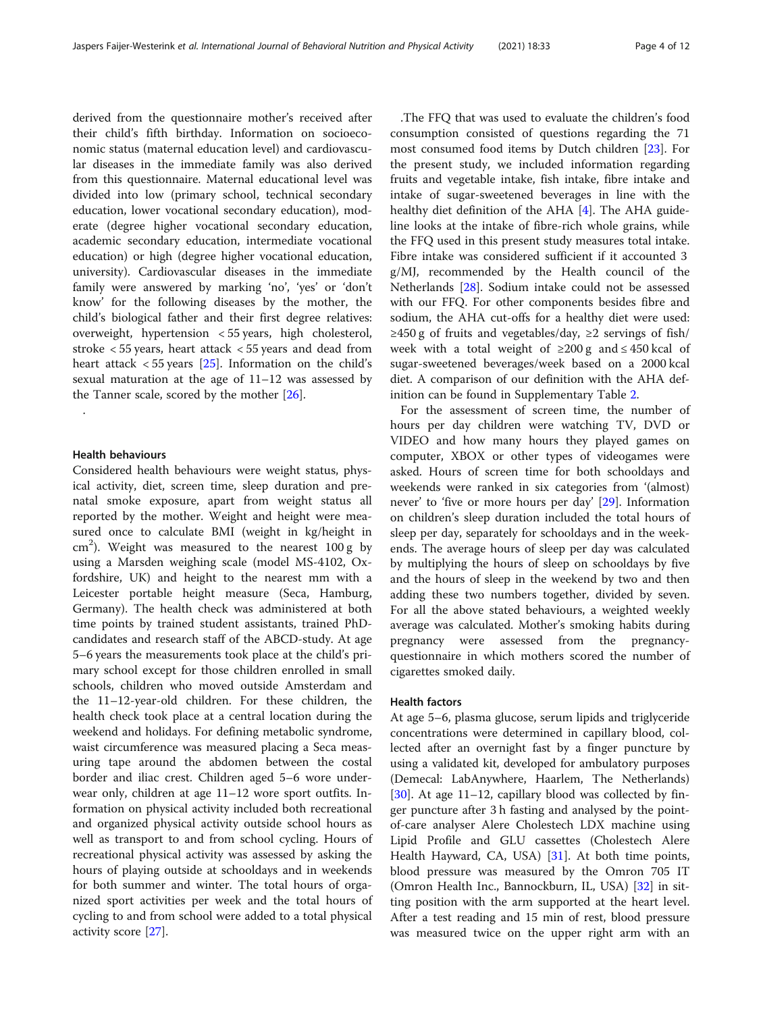derived from the questionnaire mother's received after their child's fifth birthday. Information on socioeconomic status (maternal education level) and cardiovascular diseases in the immediate family was also derived from this questionnaire. Maternal educational level was divided into low (primary school, technical secondary education, lower vocational secondary education), moderate (degree higher vocational secondary education, academic secondary education, intermediate vocational education) or high (degree higher vocational education, university). Cardiovascular diseases in the immediate family were answered by marking 'no', 'yes' or 'don't know' for the following diseases by the mother, the child's biological father and their first degree relatives: overweight, hypertension < 55 years, high cholesterol, stroke < 55 years, heart attack < 55 years and dead from heart attack < 55 years [[25](#page-11-0)]. Information on the child's sexual maturation at the age of 11–12 was assessed by the Tanner scale, scored by the mother [[26\]](#page-11-0).

#### Health behaviours

.

Considered health behaviours were weight status, physical activity, diet, screen time, sleep duration and prenatal smoke exposure, apart from weight status all reported by the mother. Weight and height were measured once to calculate BMI (weight in kg/height in  $\text{cm}^2$ ). Weight was measured to the nearest 100 g by using a Marsden weighing scale (model MS-4102, Oxfordshire, UK) and height to the nearest mm with a Leicester portable height measure (Seca, Hamburg, Germany). The health check was administered at both time points by trained student assistants, trained PhDcandidates and research staff of the ABCD-study. At age 5–6 years the measurements took place at the child's primary school except for those children enrolled in small schools, children who moved outside Amsterdam and the 11–12-year-old children. For these children, the health check took place at a central location during the weekend and holidays. For defining metabolic syndrome, waist circumference was measured placing a Seca measuring tape around the abdomen between the costal border and iliac crest. Children aged 5–6 wore underwear only, children at age 11–12 wore sport outfits. Information on physical activity included both recreational and organized physical activity outside school hours as well as transport to and from school cycling. Hours of recreational physical activity was assessed by asking the hours of playing outside at schooldays and in weekends for both summer and winter. The total hours of organized sport activities per week and the total hours of cycling to and from school were added to a total physical activity score [\[27](#page-11-0)].

.The FFQ that was used to evaluate the children's food consumption consisted of questions regarding the 71 most consumed food items by Dutch children [[23\]](#page-11-0). For the present study, we included information regarding fruits and vegetable intake, fish intake, fibre intake and intake of sugar-sweetened beverages in line with the healthy diet definition of the AHA [[4\]](#page-10-0). The AHA guideline looks at the intake of fibre-rich whole grains, while the FFQ used in this present study measures total intake. Fibre intake was considered sufficient if it accounted 3 g/MJ, recommended by the Health council of the Netherlands [[28\]](#page-11-0). Sodium intake could not be assessed with our FFQ. For other components besides fibre and sodium, the AHA cut-offs for a healthy diet were used:  $\geq$ 450 g of fruits and vegetables/day,  $\geq$ 2 servings of fish/ week with a total weight of ≥200 g and ≤ 450 kcal of sugar-sweetened beverages/week based on a 2000 kcal diet. A comparison of our definition with the AHA definition can be found in Supplementary Table [2.](#page-9-0)

For the assessment of screen time, the number of hours per day children were watching TV, DVD or VIDEO and how many hours they played games on computer, XBOX or other types of videogames were asked. Hours of screen time for both schooldays and weekends were ranked in six categories from '(almost) never' to 'five or more hours per day' [\[29](#page-11-0)]. Information on children's sleep duration included the total hours of sleep per day, separately for schooldays and in the weekends. The average hours of sleep per day was calculated by multiplying the hours of sleep on schooldays by five and the hours of sleep in the weekend by two and then adding these two numbers together, divided by seven. For all the above stated behaviours, a weighted weekly average was calculated. Mother's smoking habits during pregnancy were assessed from the pregnancyquestionnaire in which mothers scored the number of cigarettes smoked daily.

#### Health factors

At age 5–6, plasma glucose, serum lipids and triglyceride concentrations were determined in capillary blood, collected after an overnight fast by a finger puncture by using a validated kit, developed for ambulatory purposes (Demecal: LabAnywhere, Haarlem, The Netherlands)  $[30]$  $[30]$ . At age 11–12, capillary blood was collected by finger puncture after 3 h fasting and analysed by the pointof-care analyser Alere Cholestech LDX machine using Lipid Profile and GLU cassettes (Cholestech Alere Health Hayward, CA, USA) [\[31](#page-11-0)]. At both time points, blood pressure was measured by the Omron 705 IT (Omron Health Inc., Bannockburn, IL, USA) [\[32](#page-11-0)] in sitting position with the arm supported at the heart level. After a test reading and 15 min of rest, blood pressure was measured twice on the upper right arm with an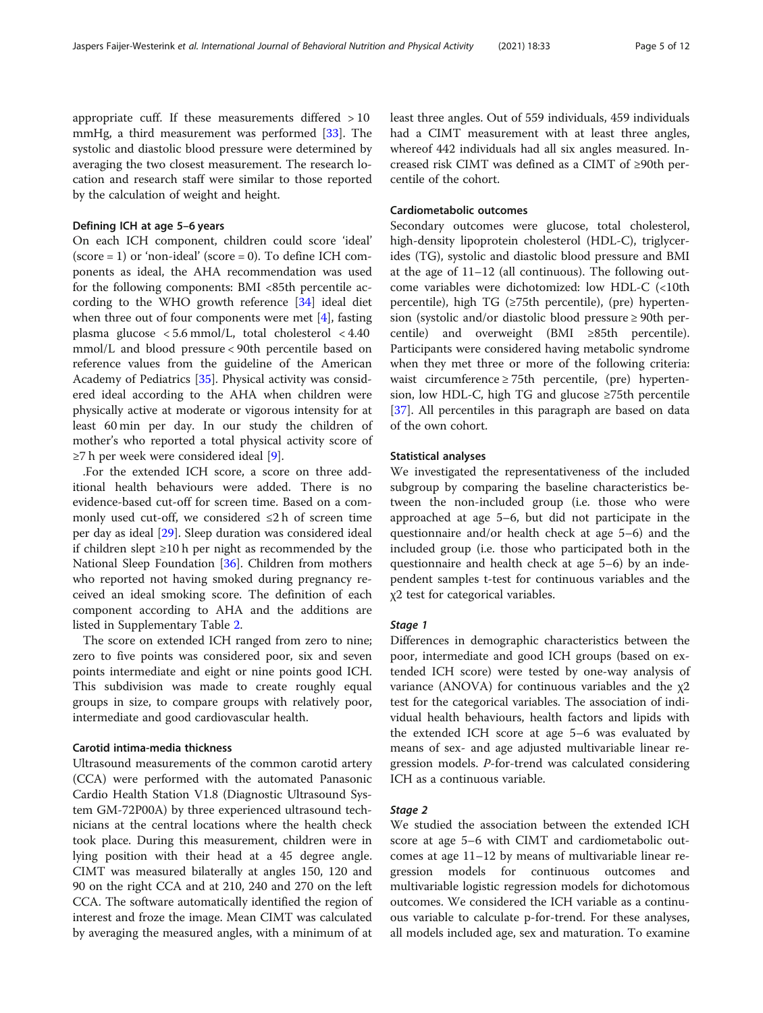appropriate cuff. If these measurements differed > 10 mmHg, a third measurement was performed [[33\]](#page-11-0). The systolic and diastolic blood pressure were determined by averaging the two closest measurement. The research location and research staff were similar to those reported by the calculation of weight and height.

#### Defining ICH at age 5–6 years

On each ICH component, children could score 'ideal'  $(score = 1)$  or 'non-ideal'  $(score = 0)$ . To define ICH components as ideal, the AHA recommendation was used for the following components: BMI <85th percentile according to the WHO growth reference [\[34](#page-11-0)] ideal diet when three out of four components were met [\[4](#page-10-0)], fasting plasma glucose < 5.6 mmol/L, total cholesterol < 4.40 mmol/L and blood pressure < 90th percentile based on reference values from the guideline of the American Academy of Pediatrics [\[35](#page-11-0)]. Physical activity was considered ideal according to the AHA when children were physically active at moderate or vigorous intensity for at least 60 min per day. In our study the children of mother's who reported a total physical activity score of ≥7 h per week were considered ideal [[9](#page-10-0)].

.For the extended ICH score, a score on three additional health behaviours were added. There is no evidence-based cut-off for screen time. Based on a commonly used cut-off, we considered ≤2 h of screen time per day as ideal [\[29\]](#page-11-0). Sleep duration was considered ideal if children slept ≥10 h per night as recommended by the National Sleep Foundation [[36\]](#page-11-0). Children from mothers who reported not having smoked during pregnancy received an ideal smoking score. The definition of each component according to AHA and the additions are listed in Supplementary Table [2](#page-9-0).

The score on extended ICH ranged from zero to nine; zero to five points was considered poor, six and seven points intermediate and eight or nine points good ICH. This subdivision was made to create roughly equal groups in size, to compare groups with relatively poor, intermediate and good cardiovascular health.

#### Carotid intima-media thickness

Ultrasound measurements of the common carotid artery (CCA) were performed with the automated Panasonic Cardio Health Station V1.8 (Diagnostic Ultrasound System GM-72P00A) by three experienced ultrasound technicians at the central locations where the health check took place. During this measurement, children were in lying position with their head at a 45 degree angle. CIMT was measured bilaterally at angles 150, 120 and 90 on the right CCA and at 210, 240 and 270 on the left CCA. The software automatically identified the region of interest and froze the image. Mean CIMT was calculated by averaging the measured angles, with a minimum of at least three angles. Out of 559 individuals, 459 individuals had a CIMT measurement with at least three angles, whereof 442 individuals had all six angles measured. Increased risk CIMT was defined as a CIMT of ≥90th percentile of the cohort.

### Cardiometabolic outcomes

Secondary outcomes were glucose, total cholesterol, high-density lipoprotein cholesterol (HDL-C), triglycerides (TG), systolic and diastolic blood pressure and BMI at the age of 11–12 (all continuous). The following outcome variables were dichotomized: low HDL-C (<10th percentile), high TG (≥75th percentile), (pre) hypertension (systolic and/or diastolic blood pressure ≥ 90th percentile) and overweight (BMI ≥85th percentile). Participants were considered having metabolic syndrome when they met three or more of the following criteria: waist circumference  $\geq$  75th percentile, (pre) hypertension, low HDL-C, high TG and glucose  $\geq$ 75th percentile [[37\]](#page-11-0). All percentiles in this paragraph are based on data of the own cohort.

#### Statistical analyses

We investigated the representativeness of the included subgroup by comparing the baseline characteristics between the non-included group (i.e. those who were approached at age 5–6, but did not participate in the questionnaire and/or health check at age 5–6) and the included group (i.e. those who participated both in the questionnaire and health check at age 5–6) by an independent samples t-test for continuous variables and the χ2 test for categorical variables.

Differences in demographic characteristics between the poor, intermediate and good ICH groups (based on extended ICH score) were tested by one-way analysis of variance (ANOVA) for continuous variables and the χ2 test for the categorical variables. The association of individual health behaviours, health factors and lipids with the extended ICH score at age 5–6 was evaluated by means of sex- and age adjusted multivariable linear regression models. P-for-trend was calculated considering ICH as a continuous variable.

We studied the association between the extended ICH score at age 5–6 with CIMT and cardiometabolic outcomes at age 11–12 by means of multivariable linear regression models for continuous outcomes and multivariable logistic regression models for dichotomous outcomes. We considered the ICH variable as a continuous variable to calculate p-for-trend. For these analyses, all models included age, sex and maturation. To examine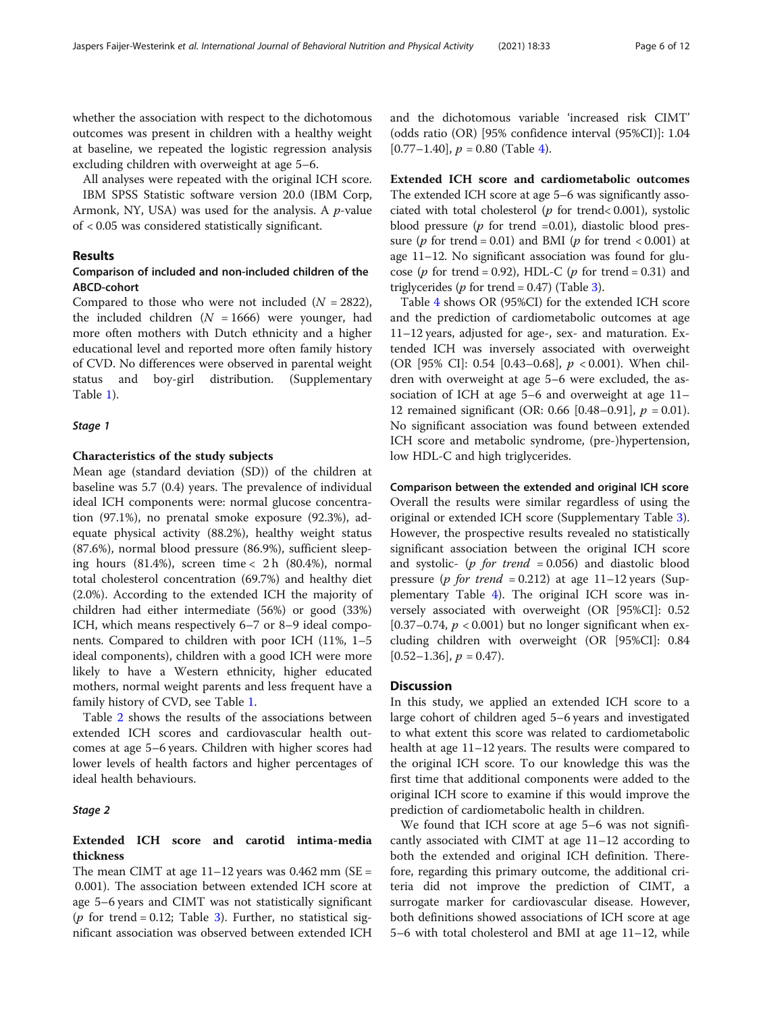whether the association with respect to the dichotomous outcomes was present in children with a healthy weight at baseline, we repeated the logistic regression analysis excluding children with overweight at age 5–6.

All analyses were repeated with the original ICH score.

IBM SPSS Statistic software version 20.0 (IBM Corp, Armonk, NY, USA) was used for the analysis. A  $p$ -value of < 0.05 was considered statistically significant.

#### Results

### Comparison of included and non-included children of the ABCD-cohort

Compared to those who were not included  $(N = 2822)$ , the included children  $(N = 1666)$  were younger, had more often mothers with Dutch ethnicity and a higher educational level and reported more often family history of CVD. No differences were observed in parental weight status and boy-girl distribution. (Supplementary Table [1\)](#page-9-0).

#### Stage 1

#### Characteristics of the study subjects

Mean age (standard deviation (SD)) of the children at baseline was 5.7 (0.4) years. The prevalence of individual ideal ICH components were: normal glucose concentration (97.1%), no prenatal smoke exposure (92.3%), adequate physical activity (88.2%), healthy weight status (87.6%), normal blood pressure (86.9%), sufficient sleeping hours  $(81.4\%)$ , screen time < 2 h  $(80.4\%)$ , normal total cholesterol concentration (69.7%) and healthy diet (2.0%). According to the extended ICH the majority of children had either intermediate (56%) or good (33%) ICH, which means respectively 6–7 or 8–9 ideal components. Compared to children with poor ICH (11%, 1–5 ideal components), children with a good ICH were more likely to have a Western ethnicity, higher educated mothers, normal weight parents and less frequent have a family history of CVD, see Table [1](#page-6-0).

Table [2](#page-7-0) shows the results of the associations between extended ICH scores and cardiovascular health outcomes at age 5–6 years. Children with higher scores had lower levels of health factors and higher percentages of ideal health behaviours.

#### Stage 2

### Extended ICH score and carotid intima-media thickness

The mean CIMT at age  $11-12$  years was 0.462 mm (SE = 0.001). The association between extended ICH score at age 5–6 years and CIMT was not statistically significant (*p* for trend = 0.12; Table [3](#page-8-0)). Further, no statistical significant association was observed between extended ICH and the dichotomous variable 'increased risk CIMT' (odds ratio (OR) [95% confidence interval (95%CI)]: 1.04  $[0.77-1.40]$  $[0.77-1.40]$  $[0.77-1.40]$ ,  $p = 0.80$  (Table 4).

Extended ICH score and cardiometabolic outcomes The extended ICH score at age 5–6 was significantly associated with total cholesterol ( $p$  for trend< 0.001), systolic blood pressure ( $p$  for trend =0.01), diastolic blood pressure ( $p$  for trend = 0.01) and BMI ( $p$  for trend < 0.001) at age 11–12. No significant association was found for glucose ( $p$  for trend = 0.92), HDL-C ( $p$  for trend = 0.31) and triglycerides ( $p$  for trend = 0.47) (Table [3\)](#page-8-0).

Table [4](#page-8-0) shows OR (95%CI) for the extended ICH score and the prediction of cardiometabolic outcomes at age 11–12 years, adjusted for age-, sex- and maturation. Extended ICH was inversely associated with overweight (OR [95% CI]: 0.54 [0.43–0.68], p < 0.001). When children with overweight at age 5–6 were excluded, the association of ICH at age 5–6 and overweight at age 11– 12 remained significant (OR: 0.66 [0.48–0.91],  $p = 0.01$ ). No significant association was found between extended ICH score and metabolic syndrome, (pre-)hypertension, low HDL-C and high triglycerides.

Comparison between the extended and original ICH score Overall the results were similar regardless of using the original or extended ICH score (Supplementary Table [3](#page-9-0)). However, the prospective results revealed no statistically significant association between the original ICH score and systolic- (p for trend  $= 0.056$ ) and diastolic blood pressure (*p for trend* = 0.212) at age 11-12 years (Supplementary Table [4\)](#page-9-0). The original ICH score was inversely associated with overweight (OR [95%CI]: 0.52 [0.37–0.74,  $p < 0.001$ ] but no longer significant when excluding children with overweight (OR [95%CI]: 0.84  $[0.52-1.36]$ ,  $p = 0.47$ ).

#### **Discussion**

In this study, we applied an extended ICH score to a large cohort of children aged 5–6 years and investigated to what extent this score was related to cardiometabolic health at age 11–12 years. The results were compared to the original ICH score. To our knowledge this was the first time that additional components were added to the original ICH score to examine if this would improve the prediction of cardiometabolic health in children.

We found that ICH score at age 5–6 was not significantly associated with CIMT at age 11–12 according to both the extended and original ICH definition. Therefore, regarding this primary outcome, the additional criteria did not improve the prediction of CIMT, a surrogate marker for cardiovascular disease. However, both definitions showed associations of ICH score at age 5–6 with total cholesterol and BMI at age 11–12, while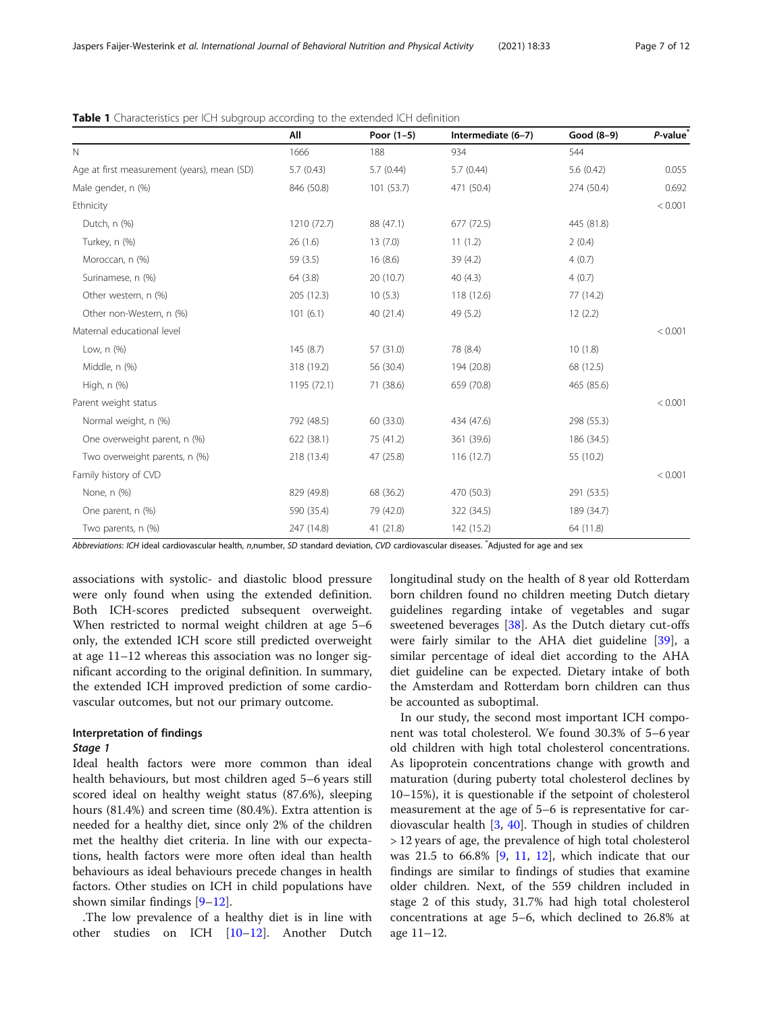|                                             | All         | Poor $(1-5)$ | Intermediate (6-7) | Good $(8-9)$ | P-value <sup>*</sup> |
|---------------------------------------------|-------------|--------------|--------------------|--------------|----------------------|
| $\mathbb N$                                 | 1666        | 188          | 934                | 544          |                      |
| Age at first measurement (years), mean (SD) | 5.7(0.43)   | 5.7(0.44)    | 5.7(0.44)          | 5.6(0.42)    | 0.055                |
| Male gender, n (%)                          | 846 (50.8)  | 101 (53.7)   | 471 (50.4)         | 274 (50.4)   | 0.692                |
| Ethnicity                                   |             |              |                    |              | < 0.001              |
| Dutch, n (%)                                | 1210 (72.7) | 88 (47.1)    | 677 (72.5)         | 445 (81.8)   |                      |
| Turkey, n (%)                               | 26(1.6)     | 13(7.0)      | 11(1.2)            | 2(0.4)       |                      |
| Moroccan, n (%)                             | 59 (3.5)    | 16(8.6)      | 39 (4.2)           | 4(0.7)       |                      |
| Surinamese, n (%)                           | 64 (3.8)    | 20 (10.7)    | 40(4.3)            | 4(0.7)       |                      |
| Other western, n (%)                        | 205 (12.3)  | 10(5.3)      | 118 (12.6)         | 77 (14.2)    |                      |
| Other non-Western, n (%)                    | 101(6.1)    | 40 (21.4)    | 49 (5.2)           | 12(2.2)      |                      |
| Maternal educational level                  |             |              |                    |              | < 0.001              |
| Low, n (%)                                  | 145(8.7)    | 57 (31.0)    | 78 (8.4)           | 10(1.8)      |                      |
| Middle, n (%)                               | 318 (19.2)  | 56 (30.4)    | 194 (20.8)         | 68 (12.5)    |                      |
| High, n (%)                                 | 1195 (72.1) | 71 (38.6)    | 659 (70.8)         | 465 (85.6)   |                      |
| Parent weight status                        |             |              |                    |              | < 0.001              |
| Normal weight, n (%)                        | 792 (48.5)  | 60 (33.0)    | 434 (47.6)         | 298 (55.3)   |                      |
| One overweight parent, n (%)                | 622(38.1)   | 75 (41.2)    | 361 (39.6)         | 186 (34.5)   |                      |
| Two overweight parents, n (%)               | 218 (13.4)  | 47 (25.8)    | 116(12.7)          | 55 (10.2)    |                      |
| Family history of CVD                       |             |              |                    |              | < 0.001              |
| None, n (%)                                 | 829 (49.8)  | 68 (36.2)    | 470 (50.3)         | 291 (53.5)   |                      |
| One parent, n (%)                           | 590 (35.4)  | 79 (42.0)    | 322 (34.5)         | 189 (34.7)   |                      |
| Two parents, n (%)                          | 247 (14.8)  | 41 (21.8)    | 142 (15.2)         | 64 (11.8)    |                      |

<span id="page-6-0"></span>

Abbreviations: ICH ideal cardiovascular health, n,number, SD standard deviation, CVD cardiovascular diseases. <sup>\*</sup>Adjusted for age and sex

associations with systolic- and diastolic blood pressure were only found when using the extended definition. Both ICH-scores predicted subsequent overweight. When restricted to normal weight children at age 5–6 only, the extended ICH score still predicted overweight at age 11–12 whereas this association was no longer significant according to the original definition. In summary, the extended ICH improved prediction of some cardiovascular outcomes, but not our primary outcome.

#### Interpretation of findings

Ideal health factors were more common than ideal health behaviours, but most children aged 5–6 years still scored ideal on healthy weight status (87.6%), sleeping hours (81.4%) and screen time (80.4%). Extra attention is needed for a healthy diet, since only 2% of the children met the healthy diet criteria. In line with our expectations, health factors were more often ideal than health behaviours as ideal behaviours precede changes in health factors. Other studies on ICH in child populations have shown similar findings [\[9](#page-10-0)–[12](#page-10-0)].

.The low prevalence of a healthy diet is in line with other studies on ICH [\[10](#page-10-0)–[12\]](#page-10-0). Another Dutch longitudinal study on the health of 8 year old Rotterdam born children found no children meeting Dutch dietary guidelines regarding intake of vegetables and sugar sweetened beverages [[38\]](#page-11-0). As the Dutch dietary cut-offs were fairly similar to the AHA diet guideline [[39](#page-11-0)], a similar percentage of ideal diet according to the AHA diet guideline can be expected. Dietary intake of both the Amsterdam and Rotterdam born children can thus be accounted as suboptimal.

In our study, the second most important ICH component was total cholesterol. We found 30.3% of 5–6 year old children with high total cholesterol concentrations. As lipoprotein concentrations change with growth and maturation (during puberty total cholesterol declines by 10–15%), it is questionable if the setpoint of cholesterol measurement at the age of 5–6 is representative for cardiovascular health [[3,](#page-10-0) [40](#page-11-0)]. Though in studies of children > 12 years of age, the prevalence of high total cholesterol was 21.5 to 66.8% [\[9](#page-10-0), [11,](#page-10-0) [12](#page-10-0)], which indicate that our findings are similar to findings of studies that examine older children. Next, of the 559 children included in stage 2 of this study, 31.7% had high total cholesterol concentrations at age 5–6, which declined to 26.8% at age 11–12.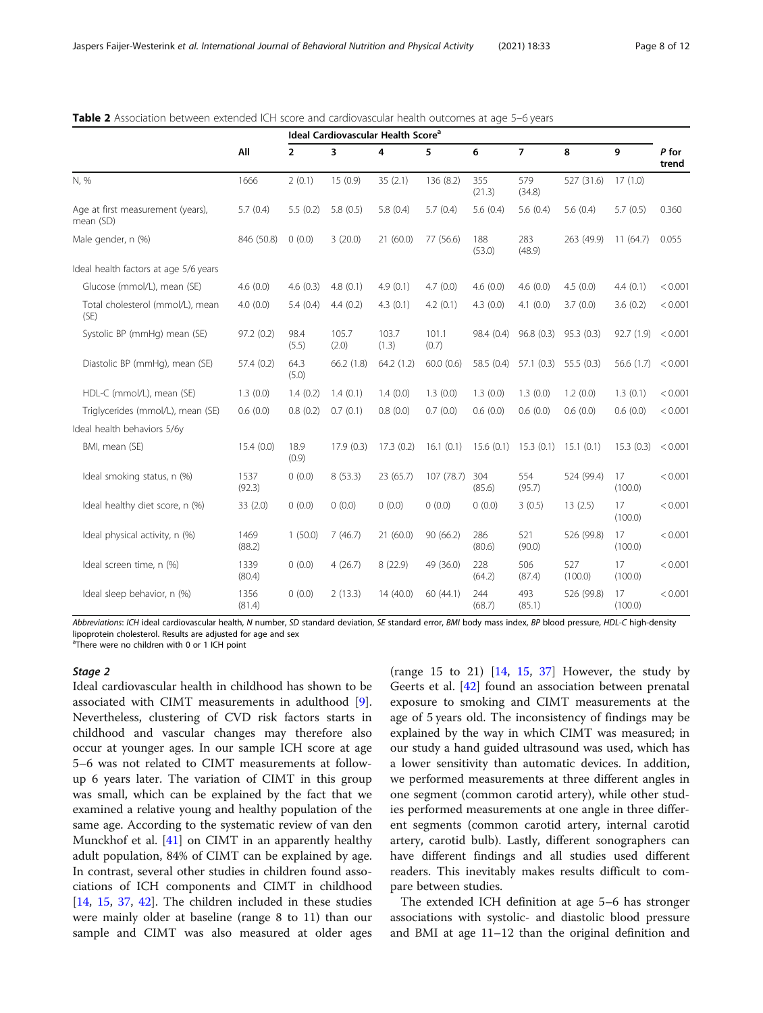trend

263 (49.9) 11 (64.7) 0.055

|      |      | Ideal Cardiovascular Health Score <sup>a</sup> |   |   |                                          |        |               |                     |   |               |
|------|------|------------------------------------------------|---|---|------------------------------------------|--------|---------------|---------------------|---|---------------|
|      | All  | $2^{\circ}$                                    | 3 | 4 | $\sim$ 5 $\sim$                          | 6 7    |               | 8                   | 9 | P for<br>tren |
| N, % | 1666 |                                                |   |   | $2(0.1)$ 15 (0.9) 35 (2.1) 136 (8.2) 355 | (21.3) | 579<br>(34.8) | 527 (31.6) 17 (1.0) |   |               |

5.7 (0.4) 5.5 (0.2) 5.8 (0.5) 5.8 (0.4) 5.7 (0.4) 5.6 (0.4) 5.6 (0.4) 5.6 (0.4) 5.7 (0.5) 0.360

(53.0)

283 (48.9)

#### <span id="page-7-0"></span>Table 2 Association between extended ICH score and cardiovascular health outcomes at age 5–6 years

Male gender, n (%) 846 (50.8) 0 (0.0) 3 (20.0) 21 (60.0) 77 (56.6) 188

Total cholesterol (mmol/L), mean (SE) 4.0 (0.0) 5.4 (0.4) 4.4 (0.2) 4.3 (0.1) 4.2 (0.1) 4.3 (0.0) 4.1 (0.0) 3.7 (0.0) 3.6 (0.2) < 0.001 Systolic BP (mmHg) mean (SE) 97.2 (0.2) 98.4 (5.5) 105.7 (2.0) 103.7 (1.3) 101.1 (0.7) 98.4 (0.4) 96.8 (0.3) 95.3 (0.3) 92.7 (1.9) < 0.001 Diastolic BP (mmHg), mean (SE) 57.4 (0.2) 64.3 (5.0) 66.2 (1.8) 64.2 (1.2) 60.0 (0.6) 58.5 (0.4) 57.1 (0.3) 55.5 (0.3) 56.6 (1.7) < 0.001 HDL-C (mmol/L), mean (SE) 1.3 (0.0) 1.4 (0.2) 1.4 (0.1) 1.4 (0.0) 1.3 (0.0) 1.3 (0.0) 1.3 (0.0) 1.2 (0.0) 1.3 (0.1) < 0.001 Triglycerides (mmol/L), mean (SE) 0.6 (0.0) 0.8 (0.2) 0.7 (0.1) 0.8 (0.0) 0.7 (0.0) 0.6 (0.0) 0.6 (0.0) 0.6 (0.0) 0.6 (0.0) < 0.001 Ideal health behaviors 5/6y BMI, mean (SE) 15.4 (0.0) 18.9 (0.9) 17.9 (0.3) 17.3 (0.2) 16.1 (0.1) 15.6 (0.1) 15.3 (0.1) 15.1 (0.1) 15.3 (0.3) < 0.001 Ideal smoking status, n (%) 1537 (92.3) 0 (0.0) 8 (53.3) 23 (65.7) 107 (78.7) 304 (85.6) 554 (95.7) 524 (99.4) 17 (100.0)  $< 0.001$ Ideal healthy diet score, n (%) 33 (2.0) 0 (0.0) 0 (0.0) 0 (0.0) 0 (0.0) 0 (0.0) 3 (0.5) 13 (2.5) 17 (100.0)  $< 0.001$ Ideal physical activity, n (%) 1469 (88.2) 1 (50.0) 7 (46.7) 21 (60.0) 90 (66.2) 286 (80.6) 521 (90.0) 526 (99.8) 17 (100.0)  $< 0.001$ Ideal screen time, n (%) 1339 (80.4) 0 (0.0) 4 (26.7) 8 (22.9) 49 (36.0) 228 (64.2) 506 (87.4) 527 (100.0) 17 (100.0)  $< 0.001$ Ideal sleep behavior, n (%) 1356 (81.4) 0 (0.0) 2 (13.3) 14 (40.0) 60 (44.1) 244 (68.7) 493 (85.1) 526 (99.8) 17  $(100.0)$  $< 0.001$ 

Glucose (mmol/L), mean (SE) 4.6 (0.0) 4.6 (0.3) 4.8 (0.1) 4.9 (0.1) 4.7 (0.0) 4.6 (0.0) 4.6 (0.0) 4.5 (0.0) 4.4 (0.1) < 0.001

Abbreviations: ICH ideal cardiovascular health, N number, SD standard deviation, SE standard error, BMI body mass index, BP blood pressure, HDL-C high-density lipoprotein cholesterol. Results are adjusted for age and sex <sup>a</sup>There were no children with 0 or 1 ICH point

#### Stage 2

Age at first measurement (years),

Ideal health factors at age 5/6 years

mean (SD)

Ideal cardiovascular health in childhood has shown to be associated with CIMT measurements in adulthood [\[9](#page-10-0)]. Nevertheless, clustering of CVD risk factors starts in childhood and vascular changes may therefore also occur at younger ages. In our sample ICH score at age 5–6 was not related to CIMT measurements at followup 6 years later. The variation of CIMT in this group was small, which can be explained by the fact that we examined a relative young and healthy population of the same age. According to the systematic review of van den Munckhof et al. [[41\]](#page-11-0) on CIMT in an apparently healthy adult population, 84% of CIMT can be explained by age. In contrast, several other studies in children found associations of ICH components and CIMT in childhood [[14,](#page-10-0) [15,](#page-10-0) [37,](#page-11-0) [42](#page-11-0)]. The children included in these studies were mainly older at baseline (range 8 to 11) than our sample and CIMT was also measured at older ages (range 15 to 21)  $\begin{bmatrix} 14 & 15 & 37 \end{bmatrix}$  However, the study by Geerts et al. [\[42\]](#page-11-0) found an association between prenatal exposure to smoking and CIMT measurements at the age of 5 years old. The inconsistency of findings may be explained by the way in which CIMT was measured; in our study a hand guided ultrasound was used, which has a lower sensitivity than automatic devices. In addition, we performed measurements at three different angles in one segment (common carotid artery), while other studies performed measurements at one angle in three different segments (common carotid artery, internal carotid artery, carotid bulb). Lastly, different sonographers can have different findings and all studies used different readers. This inevitably makes results difficult to compare between studies.

The extended ICH definition at age 5–6 has stronger associations with systolic- and diastolic blood pressure and BMI at age 11–12 than the original definition and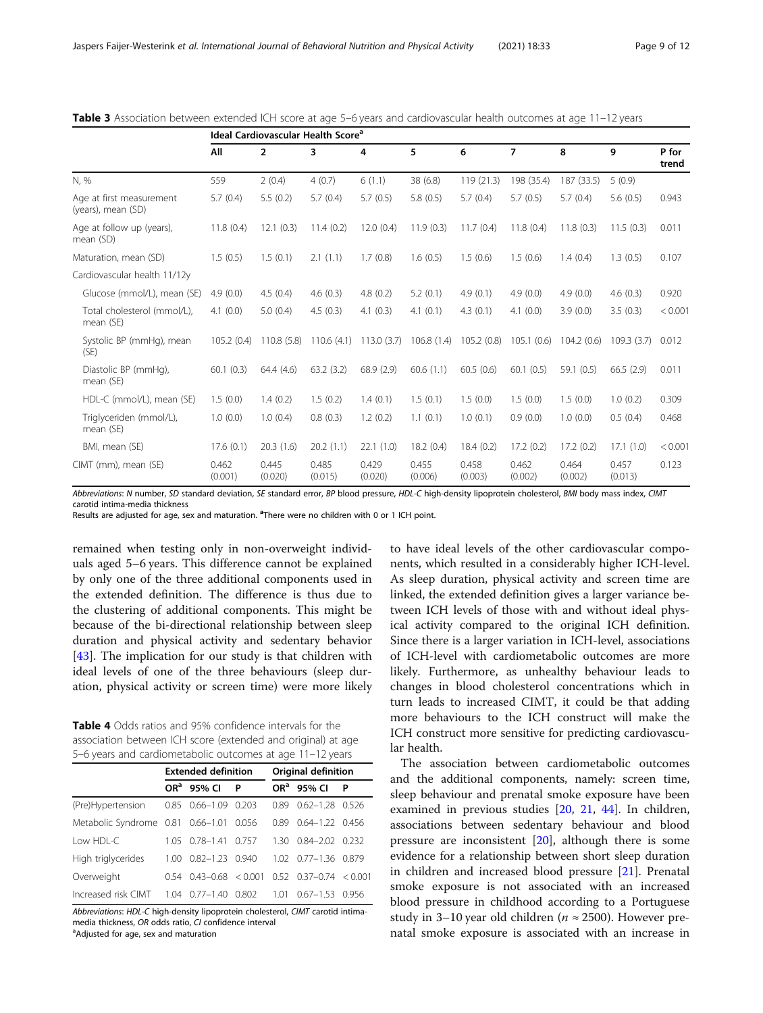| Page 9 of |
|-----------|
|-----------|

|                                                | Ideal Cardiovascular Health Score <sup>a</sup> |                  |                  |                  |                  |                  |                  |                  |                  |                |  |
|------------------------------------------------|------------------------------------------------|------------------|------------------|------------------|------------------|------------------|------------------|------------------|------------------|----------------|--|
|                                                | All                                            | $\overline{2}$   | 3                | 4                | 5                | 6                | $\overline{ }$   | 8                | 9                | P for<br>trend |  |
| N, %                                           | 559                                            | 2(0.4)           | 4(0.7)           | 6(1.1)           | 38 (6.8)         | 119 (21.3)       | 198 (35.4)       | 187 (33.5)       | 5(0.9)           |                |  |
| Age at first measurement<br>(years), mean (SD) | 5.7(0.4)                                       | 5.5(0.2)         | 5.7(0.4)         | 5.7(0.5)         | 5.8(0.5)         | 5.7(0.4)         | 5.7(0.5)         | 5.7(0.4)         | 5.6(0.5)         | 0.943          |  |
| Age at follow up (years),<br>mean (SD)         | 11.8(0.4)                                      | 12.1(0.3)        | 11.4(0.2)        | 12.0(0.4)        | 11.9(0.3)        | 11.7(0.4)        | 11.8(0.4)        | 11.8(0.3)        | 11.5(0.3)        | 0.011          |  |
| Maturation, mean (SD)                          | 1.5(0.5)                                       | 1.5(0.1)         | 2.1(1.1)         | 1.7(0.8)         | 1.6(0.5)         | 1.5(0.6)         | 1.5(0.6)         | 1.4(0.4)         | 1.3(0.5)         | 0.107          |  |
| Cardiovascular health 11/12y                   |                                                |                  |                  |                  |                  |                  |                  |                  |                  |                |  |
| Glucose (mmol/L), mean (SE)                    | 4.9(0.0)                                       | 4.5(0.4)         | 4.6(0.3)         | 4.8(0.2)         | 5.2(0.1)         | 4.9(0.1)         | 4.9(0.0)         | 4.9(0.0)         | 4.6(0.3)         | 0.920          |  |
| Total cholesterol (mmol/L),<br>mean (SE)       | 4.1(0.0)                                       | 5.0(0.4)         | 4.5(0.3)         | 4.1(0.3)         | 4.1(0.1)         | 4.3(0.1)         | 4.1(0.0)         | 3.9(0.0)         | 3.5(0.3)         | < 0.001        |  |
| Systolic BP (mmHg), mean<br>(SE)               | 105.2(0.4)                                     | 110.8(5.8)       | 110.6(4.1)       | 113.0(3.7)       | 106.8(1.4)       | 105.2(0.8)       | 105.1(0.6)       | 104.2(0.6)       | 109.3(3.7)       | 0.012          |  |
| Diastolic BP (mmHg),<br>mean (SE)              | 60.1(0.3)                                      | 64.4 (4.6)       | 63.2(3.2)        | 68.9(2.9)        | 60.6(1.1)        | 60.5(0.6)        | 60.1(0.5)        | 59.1(0.5)        | 66.5(2.9)        | 0.011          |  |
| HDL-C (mmol/L), mean (SE)                      | 1.5(0.0)                                       | 1.4(0.2)         | 1.5(0.2)         | 1.4(0.1)         | 1.5(0.1)         | 1.5(0.0)         | 1.5(0.0)         | 1.5(0.0)         | 1.0(0.2)         | 0.309          |  |
| Triglyceriden (mmol/L),<br>mean (SE)           | 1.0(0.0)                                       | 1.0(0.4)         | 0.8(0.3)         | 1.2(0.2)         | 1.1(0.1)         | 1.0(0.1)         | 0.9(0.0)         | 1.0(0.0)         | 0.5(0.4)         | 0.468          |  |
| BMI, mean (SE)                                 | 17.6(0.1)                                      | 20.3(1.6)        | 20.2(1.1)        | 22.1(1.0)        | 18.2(0.4)        | 18.4(0.2)        | 17.2(0.2)        | 17.2(0.2)        | 17.1(1.0)        | < 0.001        |  |
| CIMT (mm), mean (SE)                           | 0.462<br>(0.001)                               | 0.445<br>(0.020) | 0.485<br>(0.015) | 0.429<br>(0.020) | 0.455<br>(0.006) | 0.458<br>(0.003) | 0.462<br>(0.002) | 0.464<br>(0.002) | 0.457<br>(0.013) | 0.123          |  |

<span id="page-8-0"></span>Table 3 Association between extended ICH score at age 5–6 years and cardiovascular health outcomes at age 11–12 years

Abbreviations: N number, SD standard deviation, SE standard error, BP blood pressure, HDL-C high-density lipoprotein cholesterol, BMI body mass index, CIMT carotid intima-media thickness

Results are adjusted for age, sex and maturation. <sup>a</sup>There were no children with 0 or 1 ICH point.

remained when testing only in non-overweight individuals aged 5–6 years. This difference cannot be explained by only one of the three additional components used in the extended definition. The difference is thus due to the clustering of additional components. This might be because of the bi-directional relationship between sleep duration and physical activity and sedentary behavior [[43\]](#page-11-0). The implication for our study is that children with ideal levels of one of the three behaviours (sleep duration, physical activity or screen time) were more likely

Table 4 Odds ratios and 95% confidence intervals for the association between ICH score (extended and original) at age 5–6 years and cardiometabolic outcomes at age 11–12 years

|                                   |      | <b>Extended definition</b> |       | Original definition |                            |      |  |
|-----------------------------------|------|----------------------------|-------|---------------------|----------------------------|------|--|
|                                   |      | OR <sup>a</sup> 95% CI     | P     |                     | OR <sup>a</sup> 95% CI     | P    |  |
| (Pre)Hypertension                 | 0.85 | $0.66 - 1.09$              | 0.203 | 0.89                | $0.62 - 1.28$              | 0526 |  |
| Metabolic Syndrome 0.81 0.66-1.01 |      |                            | 0.056 | 0.89                | 064-122 0456               |      |  |
| Low HDL-C                         | 105. | $0.78 - 1.41$              | 0.757 | 130                 | 0.84-202 0.232             |      |  |
| High triglycerides                | 1.00 | $0.82 - 1.23$ 0.940        |       |                     | 102 077-136 0879           |      |  |
| Overweight                        | 0.54 | $0.43 - 0.68 < 0.001$      |       |                     | $0.52$ $0.37-0.74$ < 0.001 |      |  |
| Increased risk CIMT               | 1 04 | $0.77 - 1.40$              | 0.802 | 1.01                | 067–153                    | 0956 |  |

Abbreviations: HDL-C high-density lipoprotein cholesterol, CIMT carotid intimamedia thickness, OR odds ratio, CI confidence interval

Adjusted for age, sex and maturation

to have ideal levels of the other cardiovascular components, which resulted in a considerably higher ICH-level. As sleep duration, physical activity and screen time are linked, the extended definition gives a larger variance between ICH levels of those with and without ideal physical activity compared to the original ICH definition. Since there is a larger variation in ICH-level, associations of ICH-level with cardiometabolic outcomes are more likely. Furthermore, as unhealthy behaviour leads to changes in blood cholesterol concentrations which in turn leads to increased CIMT, it could be that adding more behaviours to the ICH construct will make the ICH construct more sensitive for predicting cardiovascular health.

The association between cardiometabolic outcomes and the additional components, namely: screen time, sleep behaviour and prenatal smoke exposure have been examined in previous studies [[20](#page-11-0), [21](#page-11-0), [44\]](#page-11-0). In children, associations between sedentary behaviour and blood pressure are inconsistent  $[20]$  $[20]$ , although there is some evidence for a relationship between short sleep duration in children and increased blood pressure [[21](#page-11-0)]. Prenatal smoke exposure is not associated with an increased blood pressure in childhood according to a Portuguese study in 3–10 year old children ( $n \approx 2500$ ). However prenatal smoke exposure is associated with an increase in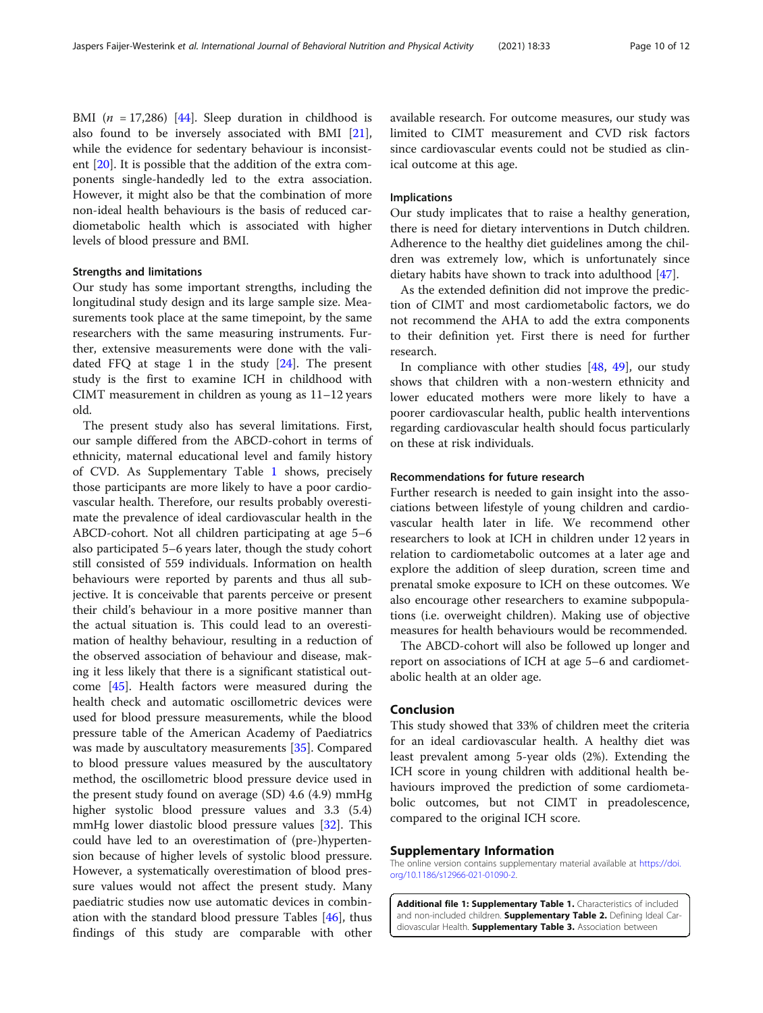<span id="page-9-0"></span>BMI ( $n = 17,286$ ) [[44\]](#page-11-0). Sleep duration in childhood is also found to be inversely associated with BMI [\[21](#page-11-0)], while the evidence for sedentary behaviour is inconsistent [[20\]](#page-11-0). It is possible that the addition of the extra components single-handedly led to the extra association. However, it might also be that the combination of more non-ideal health behaviours is the basis of reduced cardiometabolic health which is associated with higher levels of blood pressure and BMI.

#### Strengths and limitations

Our study has some important strengths, including the longitudinal study design and its large sample size. Measurements took place at the same timepoint, by the same researchers with the same measuring instruments. Further, extensive measurements were done with the validated FFQ at stage 1 in the study  $[24]$  $[24]$ . The present study is the first to examine ICH in childhood with CIMT measurement in children as young as 11–12 years old.

The present study also has several limitations. First, our sample differed from the ABCD-cohort in terms of ethnicity, maternal educational level and family history of CVD. As Supplementary Table 1 shows, precisely those participants are more likely to have a poor cardiovascular health. Therefore, our results probably overestimate the prevalence of ideal cardiovascular health in the ABCD-cohort. Not all children participating at age 5–6 also participated 5–6 years later, though the study cohort still consisted of 559 individuals. Information on health behaviours were reported by parents and thus all subjective. It is conceivable that parents perceive or present their child's behaviour in a more positive manner than the actual situation is. This could lead to an overestimation of healthy behaviour, resulting in a reduction of the observed association of behaviour and disease, making it less likely that there is a significant statistical outcome [[45\]](#page-11-0). Health factors were measured during the health check and automatic oscillometric devices were used for blood pressure measurements, while the blood pressure table of the American Academy of Paediatrics was made by auscultatory measurements [[35\]](#page-11-0). Compared to blood pressure values measured by the auscultatory method, the oscillometric blood pressure device used in the present study found on average (SD) 4.6 (4.9) mmHg higher systolic blood pressure values and 3.3 (5.4) mmHg lower diastolic blood pressure values [[32\]](#page-11-0). This could have led to an overestimation of (pre-)hypertension because of higher levels of systolic blood pressure. However, a systematically overestimation of blood pressure values would not affect the present study. Many paediatric studies now use automatic devices in combination with the standard blood pressure Tables [\[46](#page-11-0)], thus findings of this study are comparable with other available research. For outcome measures, our study was limited to CIMT measurement and CVD risk factors since cardiovascular events could not be studied as clinical outcome at this age.

#### Implications

Our study implicates that to raise a healthy generation, there is need for dietary interventions in Dutch children. Adherence to the healthy diet guidelines among the children was extremely low, which is unfortunately since dietary habits have shown to track into adulthood [\[47\]](#page-11-0).

As the extended definition did not improve the prediction of CIMT and most cardiometabolic factors, we do not recommend the AHA to add the extra components to their definition yet. First there is need for further research.

In compliance with other studies [[48,](#page-11-0) [49](#page-11-0)], our study shows that children with a non-western ethnicity and lower educated mothers were more likely to have a poorer cardiovascular health, public health interventions regarding cardiovascular health should focus particularly on these at risk individuals.

#### Recommendations for future research

Further research is needed to gain insight into the associations between lifestyle of young children and cardiovascular health later in life. We recommend other researchers to look at ICH in children under 12 years in relation to cardiometabolic outcomes at a later age and explore the addition of sleep duration, screen time and prenatal smoke exposure to ICH on these outcomes. We also encourage other researchers to examine subpopulations (i.e. overweight children). Making use of objective measures for health behaviours would be recommended.

The ABCD-cohort will also be followed up longer and report on associations of ICH at age 5–6 and cardiometabolic health at an older age.

#### Conclusion

This study showed that 33% of children meet the criteria for an ideal cardiovascular health. A healthy diet was least prevalent among 5-year olds (2%). Extending the ICH score in young children with additional health behaviours improved the prediction of some cardiometabolic outcomes, but not CIMT in preadolescence, compared to the original ICH score.

#### Supplementary Information

The online version contains supplementary material available at [https://doi.](https://doi.org/10.1186/s12966-021-01090-2) [org/10.1186/s12966-021-01090-2.](https://doi.org/10.1186/s12966-021-01090-2)

Additional file 1: Supplementary Table 1. Characteristics of included and non-included children. Supplementary Table 2. Defining Ideal Cardiovascular Health. **Supplementary Table 3.** Association between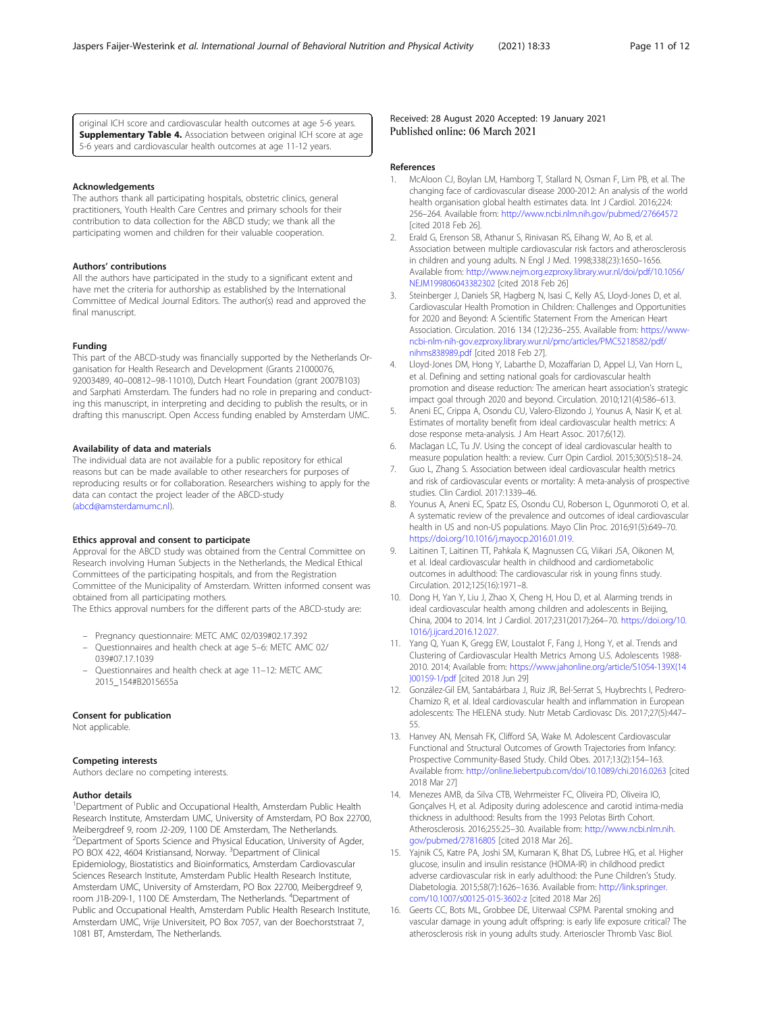#### Acknowledgements

The authors thank all participating hospitals, obstetric clinics, general practitioners, Youth Health Care Centres and primary schools for their contribution to data collection for the ABCD study; we thank all the participating women and children for their valuable cooperation.

<span id="page-10-0"></span>5-6 years and cardiovascular health outcomes at age 11-12 years.

#### Authors' contributions

All the authors have participated in the study to a significant extent and have met the criteria for authorship as established by the International Committee of Medical Journal Editors. The author(s) read and approved the final manuscript.

#### Funding

This part of the ABCD-study was financially supported by the Netherlands Organisation for Health Research and Development (Grants 21000076, 92003489, 40–00812–98-11010), Dutch Heart Foundation (grant 2007B103) and Sarphati Amsterdam. The funders had no role in preparing and conducting this manuscript, in interpreting and deciding to publish the results, or in drafting this manuscript. Open Access funding enabled by Amsterdam UMC.

#### Availability of data and materials

The individual data are not available for a public repository for ethical reasons but can be made available to other researchers for purposes of reproducing results or for collaboration. Researchers wishing to apply for the data can contact the project leader of the ABCD-study ([abcd@amsterdamumc.nl\)](mailto:abcd@amsterdamumc.nl).

#### Ethics approval and consent to participate

Approval for the ABCD study was obtained from the Central Committee on Research involving Human Subjects in the Netherlands, the Medical Ethical Committees of the participating hospitals, and from the Registration Committee of the Municipality of Amsterdam. Written informed consent was obtained from all participating mothers.

The Ethics approval numbers for the different parts of the ABCD-study are:

- Pregnancy questionnaire: METC AMC 02/039#02.17.392
- Questionnaires and health check at age 5–6: METC AMC 02/ 039#07.17.1039
- Questionnaires and health check at age 11–12: METC AMC 2015\_154#B2015655a

#### Consent for publication

Not applicable.

#### Competing interests

Authors declare no competing interests.

#### Author details

<sup>1</sup>Department of Public and Occupational Health, Amsterdam Public Health Research Institute, Amsterdam UMC, University of Amsterdam, PO Box 22700, Meibergdreef 9, room J2-209, 1100 DE Amsterdam, The Netherlands. <sup>2</sup>Department of Sports Science and Physical Education, University of Agder, PO BOX 422, 4604 Kristiansand, Norway. <sup>3</sup>Department of Clinical Epidemiology, Biostatistics and Bioinformatics, Amsterdam Cardiovascular Sciences Research Institute, Amsterdam Public Health Research Institute, Amsterdam UMC, University of Amsterdam, PO Box 22700, Meibergdreef 9, room J1B-209-1, 1100 DE Amsterdam, The Netherlands. <sup>4</sup>Department of Public and Occupational Health, Amsterdam Public Health Research Institute, Amsterdam UMC, Vrije Universiteit, PO Box 7057, van der Boechorststraat 7, 1081 BT, Amsterdam, The Netherlands.

Received: 28 August 2020 Accepted: 19 January 2021 Published online: 06 March 2021

#### References

- 1. McAloon CJ, Boylan LM, Hamborg T, Stallard N, Osman F, Lim PB, et al. The changing face of cardiovascular disease 2000-2012: An analysis of the world health organisation global health estimates data. Int J Cardiol. 2016;224: 256–264. Available from: <http://www.ncbi.nlm.nih.gov/pubmed/27664572> [cited 2018 Feb 26].
- 2. Erald G, Erenson SB, Athanur S, Rinivasan RS, Eihang W, Ao B, et al. Association between multiple cardiovascular risk factors and atherosclerosis in children and young adults. N Engl J Med. 1998;338(23):1650–1656. Available from: [http://www.nejm.org.ezproxy.library.wur.nl/doi/pdf/10.1056/](http://www.nejm.org.ezproxy.library.wur.nl/doi/pdf/10.1056/NEJM199806043382302) [NEJM199806043382302](http://www.nejm.org.ezproxy.library.wur.nl/doi/pdf/10.1056/NEJM199806043382302) [cited 2018 Feb 26]
- 3. Steinberger J, Daniels SR, Hagberg N, Isasi C, Kelly AS, Lloyd-Jones D, et al. Cardiovascular Health Promotion in Children: Challenges and Opportunities for 2020 and Beyond: A Scientific Statement From the American Heart Association. Circulation. 2016 134 (12):236–255. Available from: [https://www](https://www-ncbi-nlm-nih-gov.ezproxy.library.wur.nl/pmc/articles/PMC5218582/pdf/nihms838989.pdf)[ncbi-nlm-nih-gov.ezproxy.library.wur.nl/pmc/articles/PMC5218582/pdf/](https://www-ncbi-nlm-nih-gov.ezproxy.library.wur.nl/pmc/articles/PMC5218582/pdf/nihms838989.pdf) [nihms838989.pdf](https://www-ncbi-nlm-nih-gov.ezproxy.library.wur.nl/pmc/articles/PMC5218582/pdf/nihms838989.pdf) [cited 2018 Feb 27].
- 4. Lloyd-Jones DM, Hong Y, Labarthe D, Mozaffarian D, Appel LJ, Van Horn L, et al. Defining and setting national goals for cardiovascular health promotion and disease reduction: The american heart association's strategic impact goal through 2020 and beyond. Circulation. 2010;121(4):586–613.
- 5. Aneni EC, Crippa A, Osondu CU, Valero-Elizondo J, Younus A, Nasir K, et al. Estimates of mortality benefit from ideal cardiovascular health metrics: A dose response meta-analysis. J Am Heart Assoc. 2017;6(12).
- 6. Maclagan LC, Tu JV. Using the concept of ideal cardiovascular health to measure population health: a review. Curr Opin Cardiol. 2015;30(5):518–24.
- 7. Guo L, Zhang S. Association between ideal cardiovascular health metrics and risk of cardiovascular events or mortality: A meta-analysis of prospective studies. Clin Cardiol. 2017:1339–46.
- Younus A, Aneni EC, Spatz ES, Osondu CU, Roberson L, Ogunmoroti O, et al. A systematic review of the prevalence and outcomes of ideal cardiovascular health in US and non-US populations. Mayo Clin Proc. 2016;91(5):649–70. [https://doi.org/10.1016/j.mayocp.2016.01.019.](https://doi.org/10.1016/j.mayocp.2016.01.019)
- 9. Laitinen T, Laitinen TT, Pahkala K, Magnussen CG, Viikari JSA, Oikonen M, et al. Ideal cardiovascular health in childhood and cardiometabolic outcomes in adulthood: The cardiovascular risk in young finns study. Circulation. 2012;125(16):1971–8.
- 10. Dong H, Yan Y, Liu J, Zhao X, Cheng H, Hou D, et al. Alarming trends in ideal cardiovascular health among children and adolescents in Beijing, China, 2004 to 2014. Int J Cardiol. 2017;231(2017):264–70. [https://doi.org/10.](https://doi.org/10.1016/j.ijcard.2016.12.027) [1016/j.ijcard.2016.12.027.](https://doi.org/10.1016/j.ijcard.2016.12.027)
- 11. Yang Q, Yuan K, Gregg EW, Loustalot F, Fang J, Hong Y, et al. Trends and Clustering of Cardiovascular Health Metrics Among U.S. Adolescents 1988- 2010. 2014; Available from: [https://www.jahonline.org/article/S1054-139X\(14](https://www.jahonline.org/article/S1054-139X(14)00159-1/pdf) [\)00159-1/pdf](https://www.jahonline.org/article/S1054-139X(14)00159-1/pdf) [cited 2018 Jun 29]
- 12. González-Gil EM, Santabárbara J, Ruiz JR, Bel-Serrat S, Huybrechts I, Pedrero-Chamizo R, et al. Ideal cardiovascular health and inflammation in European adolescents: The HELENA study. Nutr Metab Cardiovasc Dis. 2017;27(5):447– 55.
- 13. Hanvey AN, Mensah FK, Clifford SA, Wake M. Adolescent Cardiovascular Functional and Structural Outcomes of Growth Trajectories from Infancy: Prospective Community-Based Study. Child Obes. 2017;13(2):154–163. Available from: <http://online.liebertpub.com/doi/10.1089/chi.2016.0263> [cited 2018 Mar 27]
- 14. Menezes AMB, da Silva CTB, Wehrmeister FC, Oliveira PD, Oliveira IO, Gonçalves H, et al. Adiposity during adolescence and carotid intima-media thickness in adulthood: Results from the 1993 Pelotas Birth Cohort. Atherosclerosis. 2016;255:25–30. Available from: [http://www.ncbi.nlm.nih.](http://www.ncbi.nlm.nih.gov/pubmed/27816805) [gov/pubmed/27816805](http://www.ncbi.nlm.nih.gov/pubmed/27816805) [cited 2018 Mar 26]..
- 15. Yajnik CS, Katre PA, Joshi SM, Kumaran K, Bhat DS, Lubree HG, et al. Higher glucose, insulin and insulin resistance (HOMA-IR) in childhood predict adverse cardiovascular risk in early adulthood: the Pune Children's Study. Diabetologia. 2015;58(7):1626–1636. Available from: [http://link.springer.](http://link.springer.com/10.1007/s00125-015-3602-z) [com/10.1007/s00125-015-3602-z](http://link.springer.com/10.1007/s00125-015-3602-z) [cited 2018 Mar 26]
- 16. Geerts CC, Bots ML, Grobbee DE, Uiterwaal CSPM. Parental smoking and vascular damage in young adult offspring: is early life exposure critical? The atherosclerosis risk in young adults study. Arterioscler Thromb Vasc Biol.